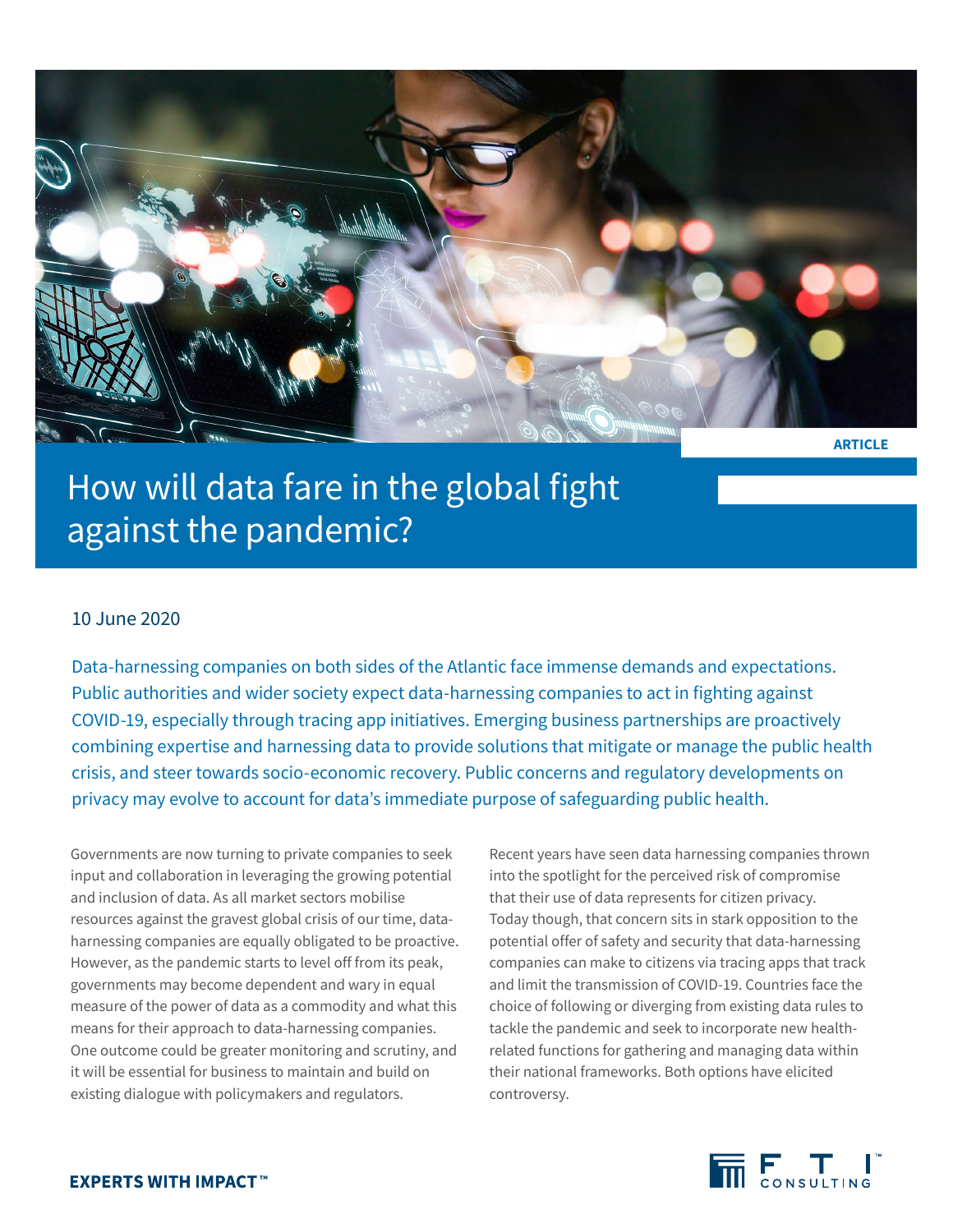

**ARTICLE**

## How will data fare in the global fight against the pandemic?

## 10 June 2020

Data-harnessing companies on both sides of the Atlantic face immense demands and expectations. Public authorities and wider society expect data-harnessing companies to act in fighting against COVID-19, especially through tracing app initiatives. Emerging business partnerships are proactively combining expertise and harnessing data to provide solutions that mitigate or manage the public health crisis, and steer towards socio-economic recovery. Public concerns and regulatory developments on privacy may evolve to account for data's immediate purpose of safeguarding public health.

Governments are now turning to private companies to seek input and collaboration in leveraging the growing potential and inclusion of data. As all market sectors mobilise resources against the gravest global crisis of our time, dataharnessing companies are equally obligated to be proactive. However, as the pandemic starts to level off from its peak, governments may become dependent and wary in equal measure of the power of data as a commodity and what this means for their approach to data-harnessing companies. One outcome could be greater monitoring and scrutiny, and it will be essential for business to maintain and build on existing dialogue with policymakers and regulators.

Recent years have seen data harnessing companies thrown into the spotlight for the perceived risk of compromise that their use of data represents for citizen privacy. Today though, that concern sits in stark opposition to the potential offer of safety and security that data-harnessing companies can make to citizens via tracing apps that track and limit the transmission of COVID-19. Countries face the choice of following or diverging from existing data rules to tackle the pandemic and seek to incorporate new healthrelated functions for gathering and managing data within their national frameworks. Both options have elicited controversy.

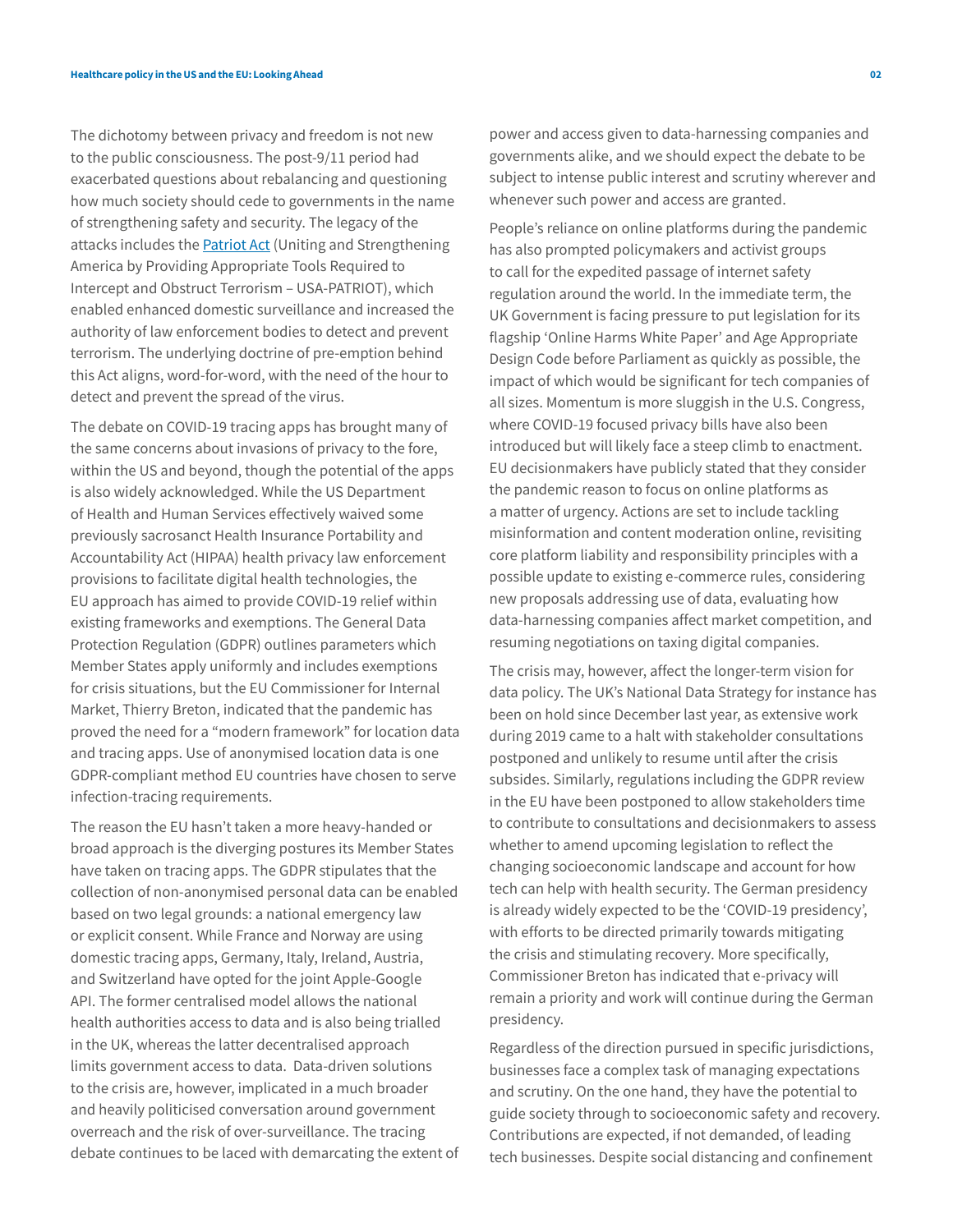The dichotomy between privacy and freedom is not new to the public consciousness. The post-9/11 period had exacerbated questions about rebalancing and questioning how much society should cede to governments in the name of strengthening safety and security. The legacy of the attacks includes the **Patriot Act** (Uniting and Strengthening America by Providing Appropriate Tools Required to Intercept and Obstruct Terrorism – USA-PATRIOT), which enabled enhanced domestic surveillance and increased the authority of law enforcement bodies to detect and prevent terrorism. The underlying doctrine of pre-emption behind this Act aligns, word-for-word, with the need of the hour to detect and prevent the spread of the virus.

The debate on COVID-19 tracing apps has brought many of the same concerns about invasions of privacy to the fore, within the US and beyond, though the potential of the apps is also widely acknowledged. While the US Department of Health and Human Services effectively waived some previously sacrosanct Health Insurance Portability and Accountability Act (HIPAA) health privacy law enforcement provisions to facilitate digital health technologies, the EU approach has aimed to provide COVID-19 relief within existing frameworks and exemptions. The General Data Protection Regulation (GDPR) outlines parameters which Member States apply uniformly and includes exemptions for crisis situations, but the EU Commissioner for Internal Market, Thierry Breton, indicated that the pandemic has proved the need for a "modern framework" for location data and tracing apps. Use of anonymised location data is one GDPR-compliant method EU countries have chosen to serve infection-tracing requirements.

The reason the EU hasn't taken a more heavy-handed or broad approach is the diverging postures its Member States have taken on tracing apps. The GDPR stipulates that the collection of non-anonymised personal data can be enabled based on two legal grounds: a national emergency law or explicit consent. While France and Norway are using domestic tracing apps, Germany, Italy, Ireland, Austria, and Switzerland have opted for the joint Apple-Google API. The former centralised model allows the national health authorities access to data and is also being trialled in the UK, whereas the latter decentralised approach limits government access to data. Data-driven solutions to the crisis are, however, implicated in a much broader and heavily politicised conversation around government overreach and the risk of over-surveillance. The tracing debate continues to be laced with demarcating the extent of power and access given to data-harnessing companies and governments alike, and we should expect the debate to be subject to intense public interest and scrutiny wherever and whenever such power and access are granted.

People's reliance on online platforms during the pandemic has also prompted policymakers and activist groups to call for the expedited passage of internet safety regulation around the world. In the immediate term, the UK Government is facing pressure to put legislation for its flagship 'Online Harms White Paper' and Age Appropriate Design Code before Parliament as quickly as possible, the impact of which would be significant for tech companies of all sizes. Momentum is more sluggish in the U.S. Congress, where COVID-19 focused privacy bills have also been introduced but will likely face a steep climb to enactment. EU decisionmakers have publicly stated that they consider the pandemic reason to focus on online platforms as a matter of urgency. Actions are set to include tackling misinformation and content moderation online, revisiting core platform liability and responsibility principles with a possible update to existing e-commerce rules, considering new proposals addressing use of data, evaluating how data-harnessing companies affect market competition, and resuming negotiations on taxing digital companies.

The crisis may, however, affect the longer-term vision for data policy. The UK's National Data Strategy for instance has been on hold since December last year, as extensive work during 2019 came to a halt with stakeholder consultations postponed and unlikely to resume until after the crisis subsides. Similarly, regulations including the GDPR review in the EU have been postponed to allow stakeholders time to contribute to consultations and decisionmakers to assess whether to amend upcoming legislation to reflect the changing socioeconomic landscape and account for how tech can help with health security. The German presidency is already widely expected to be the 'COVID-19 presidency', with efforts to be directed primarily towards mitigating the crisis and stimulating recovery. More specifically, Commissioner Breton has indicated that e-privacy will remain a priority and work will continue during the German presidency.

Regardless of the direction pursued in specific jurisdictions, businesses face a complex task of managing expectations and scrutiny. On the one hand, they have the potential to guide society through to socioeconomic safety and recovery. Contributions are expected, if not demanded, of leading tech businesses. Despite social distancing and confinement